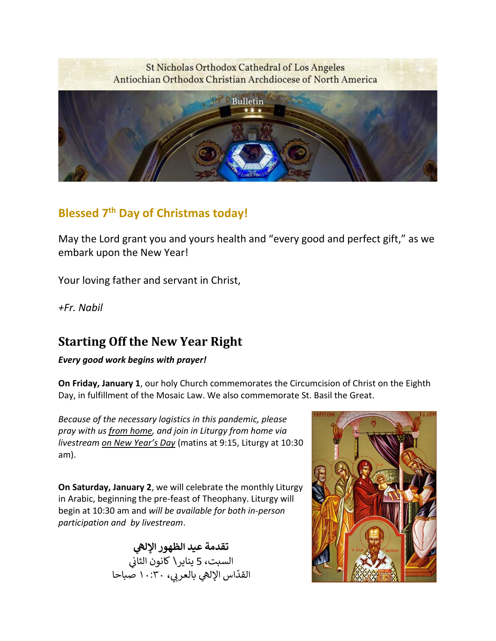### St Nicholas Orthodox Cathedral of Los Angeles Antiochian Orthodox Christian Archdiocese of North America



# **Blessed 7th Day of Christmas today!**

May the Lord grant you and yours health and "every good and perfect gift," as we embark upon the New Year!

Your loving father and servant in Christ,

*+Fr. Nabil*

# **Starting Off the New Year Right**

*Every good work begins with prayer!*

**On Friday, January 1**, our holy Church commemorates the Circumcision of Christ on the Eighth Day, in fulfillment of the Mosaic Law. We also commemorate St. Basil the Great.

*Because of the necessary logistics in this pandemic, please pray with us from home, and join in Liturgy from home via livestream on New Year's Day* (matins at 9:15, Liturgy at 10:30 am).

**On Saturday, January 2**, we will celebrate the monthly Liturgy in Arabic, beginning the pre-feast of Theophany. Liturgy will begin at 10:30 am and *will be available for both in-person participation and by livestream*.

> **ه تقدمة عيد الظهور اإلل** .<br>السبت، 5 يناير\ كانون الثاني è اس الإله<mark>ي بالعربي،</mark> مسبت و يتير.<br>القدّاس الإلهي بالعربي، ١٠:٣٠ صباحا

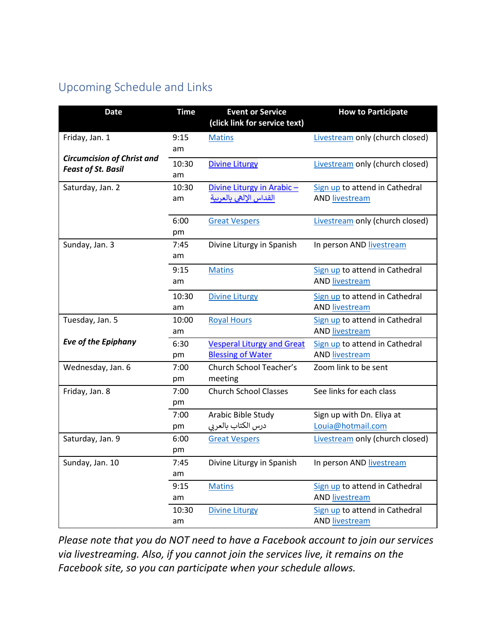# Upcoming Schedule and Links

| <b>Date</b>                                                    | <b>Time</b> | <b>Event or Service</b>           | <b>How to Participate</b>       |
|----------------------------------------------------------------|-------------|-----------------------------------|---------------------------------|
|                                                                |             | (click link for service text)     |                                 |
| Friday, Jan. 1                                                 | 9:15        | <b>Matins</b>                     | Livestream only (church closed) |
|                                                                | am          |                                   |                                 |
| <b>Circumcision of Christ and</b><br><b>Feast of St. Basil</b> | 10:30       | <b>Divine Liturgy</b>             | Livestream only (church closed) |
|                                                                | am          |                                   |                                 |
| Saturday, Jan. 2                                               | 10:30       | Divine Liturgy in Arabic-         | Sign up to attend in Cathedral  |
|                                                                | am          | القداس الإلهى بالعربية            | AND livestream                  |
|                                                                | 6:00        |                                   |                                 |
|                                                                | pm          | <b>Great Vespers</b>              | Livestream only (church closed) |
| Sunday, Jan. 3                                                 | 7:45        | Divine Liturgy in Spanish         | In person AND livestream        |
|                                                                | am          |                                   |                                 |
|                                                                | 9:15        | <b>Matins</b>                     | Sign up to attend in Cathedral  |
|                                                                | am          |                                   | <b>AND livestream</b>           |
|                                                                | 10:30       | <b>Divine Liturgy</b>             | Sign up to attend in Cathedral  |
|                                                                | am          |                                   | <b>AND livestream</b>           |
| Tuesday, Jan. 5                                                | 10:00       | <b>Royal Hours</b>                | Sign up to attend in Cathedral  |
|                                                                | am          |                                   | <b>AND livestream</b>           |
| <b>Eve of the Epiphany</b>                                     | 6:30        | <b>Vesperal Liturgy and Great</b> | Sign up to attend in Cathedral  |
|                                                                | pm          | <b>Blessing of Water</b>          | <b>AND livestream</b>           |
| Wednesday, Jan. 6                                              | 7:00        | Church School Teacher's           | Zoom link to be sent            |
|                                                                | pm          | meeting                           |                                 |
| Friday, Jan. 8                                                 | 7:00        | <b>Church School Classes</b>      | See links for each class        |
|                                                                | рm          |                                   |                                 |
|                                                                | 7:00        | Arabic Bible Study                | Sign up with Dn. Eliya at       |
|                                                                | pm          | درس الكتاب بالعربى                | Louia@hotmail.com               |
| Saturday, Jan. 9                                               | 6:00        | <b>Great Vespers</b>              | Livestream only (church closed) |
|                                                                | pm          |                                   |                                 |
| Sunday, Jan. 10                                                | 7:45        | Divine Liturgy in Spanish         | In person AND livestream        |
|                                                                | am          |                                   |                                 |
|                                                                | 9:15        | <b>Matins</b>                     | Sign up to attend in Cathedral  |
|                                                                | am          |                                   | <b>AND livestream</b>           |
|                                                                | 10:30       | <b>Divine Liturgy</b>             | Sign up to attend in Cathedral  |
|                                                                | am          |                                   | <b>AND livestream</b>           |

*Please note that you do NOT need to have a Facebook account to join our services via livestreaming. Also, if you cannot join the services live, it remains on the Facebook site, so you can participate when your schedule allows.*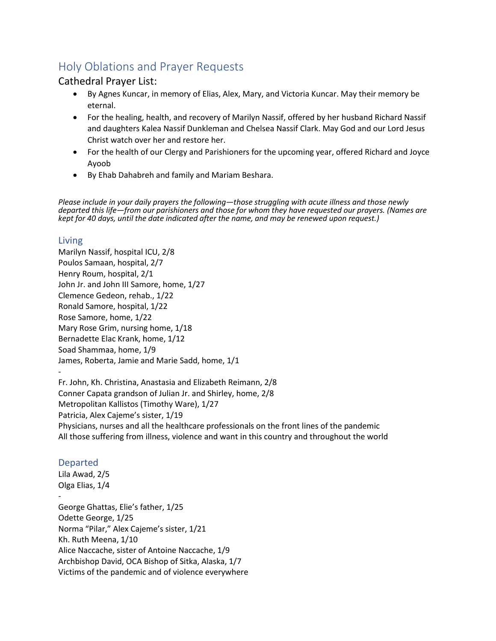# Holy Oblations and Prayer Requests

### Cathedral Prayer List:

- By Agnes Kuncar, in memory of Elias, Alex, Mary, and Victoria Kuncar. May their memory be eternal.
- For the healing, health, and recovery of Marilyn Nassif, offered by her husband Richard Nassif and daughters Kalea Nassif Dunkleman and Chelsea Nassif Clark. May God and our Lord Jesus Christ watch over her and restore her.
- For the health of our Clergy and Parishioners for the upcoming year, offered Richard and Joyce Ayoob
- By Ehab Dahabreh and family and Mariam Beshara.

*Please include in your daily prayers the following—those struggling with acute illness and those newly departed this life—from our parishioners and those for whom they have requested our prayers. (Names are kept for 40 days, until the date indicated after the name, and may be renewed upon request.)*

#### Living

Marilyn Nassif, hospital ICU, 2/8 Poulos Samaan, hospital, 2/7 Henry Roum, hospital, 2/1 John Jr. and John III Samore, home, 1/27 Clemence Gedeon, rehab., 1/22 Ronald Samore, hospital, 1/22 Rose Samore, home, 1/22 Mary Rose Grim, nursing home, 1/18 Bernadette Elac Krank, home, 1/12 Soad Shammaa, home, 1/9 James, Roberta, Jamie and Marie Sadd, home, 1/1

- Fr. John, Kh. Christina, Anastasia and Elizabeth Reimann, 2/8 Conner Capata grandson of Julian Jr. and Shirley, home, 2/8

Metropolitan Kallistos (Timothy Ware), 1/27 Patricia, Alex Cajeme's sister, 1/19 Physicians, nurses and all the healthcare professionals on the front lines of the pandemic

## All those suffering from illness, violence and want in this country and throughout the world

### Departed

Lila Awad, 2/5 Olga Elias, 1/4 - George Ghattas, Elie's father, 1/25 Odette George, 1/25 Norma "Pilar," Alex Cajeme's sister, 1/21 Kh. Ruth Meena, 1/10 Alice Naccache, sister of Antoine Naccache, 1/9 Archbishop David, OCA Bishop of Sitka, Alaska, 1/7 Victims of the pandemic and of violence everywhere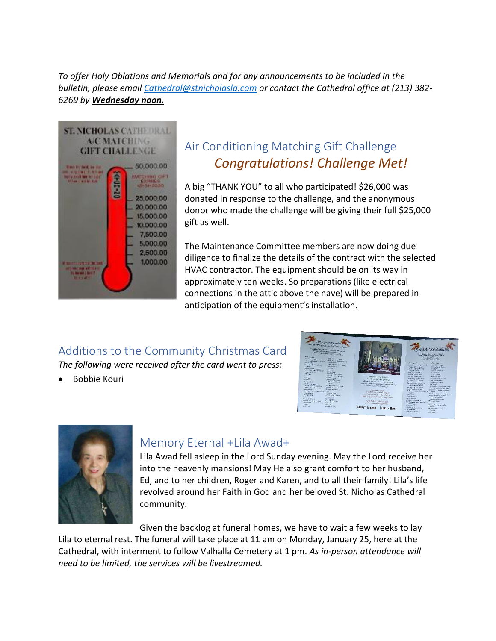*To offer Holy Oblations and Memorials and for any announcements to be included in the bulletin, please email [Cathedral@stnicholasla.com](mailto:Cathedral@stnicholasla.com) or contact the Cathedral office at (213) 382- 6269 by Wednesday noon.*



# Air Conditioning Matching Gift Challenge *Congratulations! Challenge Met!*

A big "THANK YOU" to all who participated! \$26,000 was donated in response to the challenge, and the anonymous donor who made the challenge will be giving their full \$25,000 gift as well.

The Maintenance Committee members are now doing due diligence to finalize the details of the contract with the selected HVAC contractor. The equipment should be on its way in approximately ten weeks. So preparations (like electrical connections in the attic above the nave) will be prepared in anticipation of the equipment's installation.

## Additions to the Community Christmas Card *The following were received after the card went to press:*

• Bobbie Kouri





## Memory Eternal +Lila Awad+

Lila Awad fell asleep in the Lord Sunday evening. May the Lord receive her into the heavenly mansions! May He also grant comfort to her husband, Ed, and to her children, Roger and Karen, and to all their family! Lila's life revolved around her Faith in God and her beloved St. Nicholas Cathedral community.

Given the backlog at funeral homes, we have to wait a few weeks to lay Lila to eternal rest. The funeral will take place at 11 am on Monday, January 25, here at the Cathedral, with interment to follow Valhalla Cemetery at 1 pm. *As in-person attendance will need to be limited, the services will be livestreamed.*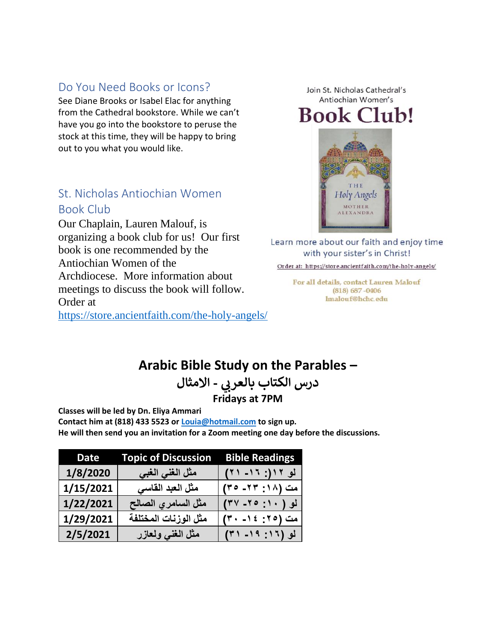### Do You Need Books or Icons?

See Diane Brooks or Isabel Elac for anything from the Cathedral bookstore. While we can't have you go into the bookstore to peruse the stock at this time, they will be happy to bring out to you what you would like.

## St. Nicholas Antiochian Women Book Club

Our Chaplain, Lauren Malouf, is organizing a book club for us! Our first book is one recommended by the Antiochian Women of the Archdiocese. More information about meetings to discuss the book will follow. Order at

<https://store.ancientfaith.com/the-holy-angels/>

Join St. Nicholas Cathedral's Antiochian Women's **Book Club!** 



Learn more about our faith and enjoy time with your sister's in Christ!

Order at: https://store.ancientfaith.com/the-holy-angels/

For all details, contact Lauren Malouf  $(818)$  687 - 0406 lmalouf@hchc.edu

# **Arabic Bible Study on the Parables –**

**درس الكتاب بالعر - االمثال ب Fridays at 7PM**

**Classes will be led by Dn. Eliya Ammari**

**Contact him at (818) 433 5523 or [Louia@hotmail.com](mailto:Louia@hotmail.com) to sign up. He will then send you an invitation for a Zoom meeting one day before the discussions.** 

| <b>Date</b> | <b>Topic of Discussion</b> | <b>Bible Readings</b> |
|-------------|----------------------------|-----------------------|
| 1/8/2020    | مثل الغني الغبي            | لو ۱۲(: ۱۶– ۲۱)       |
| 1/15/2021   | مثل العبد القاسي           | مت (١٨: ٢٣- ٣٥)       |
| 1/22/2021   | مثل السامري الصالح         | لو ( ۲۰: ۲۰- ۳۷)      |
| 1/29/2021   | مثل الوزنات المختلفة       | مت (٢٥: ١٤- ٣٠)       |
| 2/5/2021    | مثل الغنى ولعازر           | لو (١٦: ١٩- ٣١)       |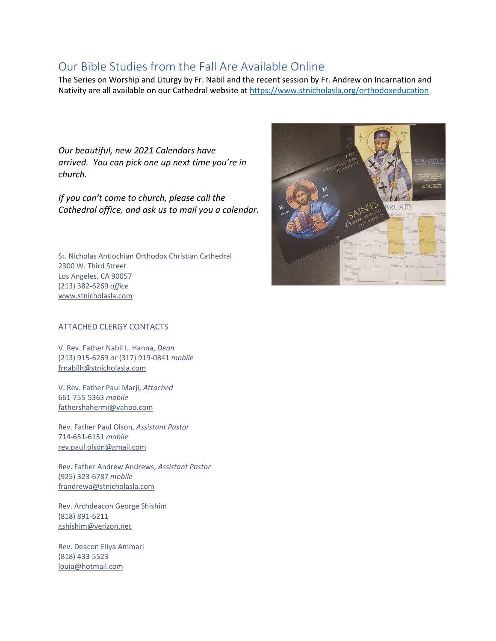## Our Bible Studies from the Fall Are Available Online

The Series on Worship and Liturgy by Fr. Nabil and the recent session by Fr. Andrew on Incarnation and Nativity are all available on our Cathedral website at<https://www.stnicholasla.org/orthodoxeducation>

*Our beautiful, new 2021 Calendars have arrived. You can pick one up next time you're in church.*

*If you can't come to church, please call the Cathedral office, and ask us to mail you a calendar.*

St. Nicholas Antiochian Orthodox Christian Cathedral 2300 W. Third Street Los Angeles, CA 90057 (213) 382-6269 *office* [www.stnicholasla.com](https://eur01.safelinks.protection.outlook.com/?url=http%3A%2F%2Fwww.stnicholasla.com%2F&data=04%7C01%7C%7C5cc89342292b4eef81df08d87148a9dc%7C84df9e7fe9f640afb435aaaaaaaaaaaa%7C1%7C0%7C637383904238284013%7CUnknown%7CTWFpbGZsb3d8eyJWIjoiMC4wLjAwMDAiLCJQIjoiV2luMzIiLCJBTiI6Ik1haWwiLCJXVCI6Mn0%3D%7C1000&sdata=%2BG0avIUcgmUPtLaYloJvYsvg3TzngjIUWQUqo1%2FUIyY%3D&reserved=0)



#### ATTACHED CLERGY CONTACTS

V. Rev. Father Nabil L. Hanna, *Dean* (213) 915-6269 *or* (317) 919-0841 *mobile* [frnabilh@stnicholasla.com](mailto:frnabilh@stnicholasla.com)

V. Rev. Father Paul Marji, *Attached* 661-755-5363 *mobile* [fathershahermj@yahoo.com](mailto:fathershahermj@yahoo.com)

Rev. Father Paul Olson, *Assistant Pastor* 714-651-6151 *mobile* [rev.paul.olson@gmail.com](mailto:rev.paul.olson@gmail.com)

Rev. Father Andrew Andrews, *Assistant Pastor* (925) 323-6787 *mobile* [frandrewa@stnicholasla.com](mailto:frandrewa@stnicholasla.com)

Rev. Archdeacon George Shishim (818) 891-6211 [gshishim@verizon.net](mailto:gshishim@verizon.net)

Rev. Deacon Eliya Ammari (818) 433-5523 [louia@hotmail.com](mailto:louia@hotmail.com)